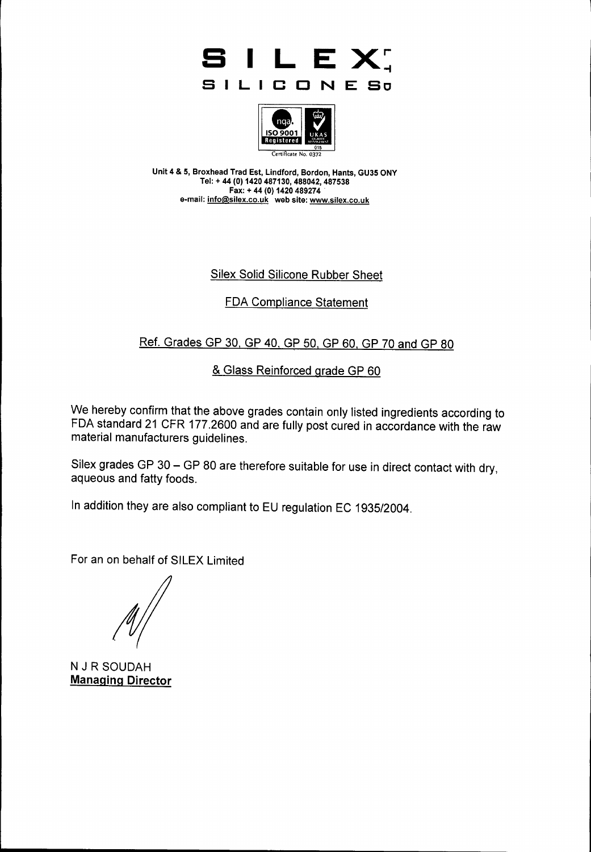



Unit 4 & 5, Broxhead Trad Est, Lindford, Bordon, Hants, GU35 ONY Tel: + 44 (0) 1420 487130, 488042, 487 Fax: + 44 (0) 1420 489274 e-mail: <u>[info@silex.co.uk](mailto:info@silex.co.uk)</u> web site: <u>www.silex.co.u</u>l

### Silex Solid Silicone Rubber Sheet

## FDA Compliance Statement

# Ref. Grades GP 30, GP 40, GP 50, GP 60, GP 70 and GP 80

## & Glass Reinforced grade GP 60

We hereby confirm that the above grades contain only listed ingredients according to FDA standard 21 CFR 177.2600 and are fully post cured in accordance with the raw material manufacturers guidelines.

Silex grades GP 30 - GP 80 are therefore suitable for use in direct contact with dry, aqueous and fatty foods.

In addition they are also compliant to EU regulation EC 1935/2004.

For an on behalf of SILEX Limited

N J R SOUDAH **Managing Director**